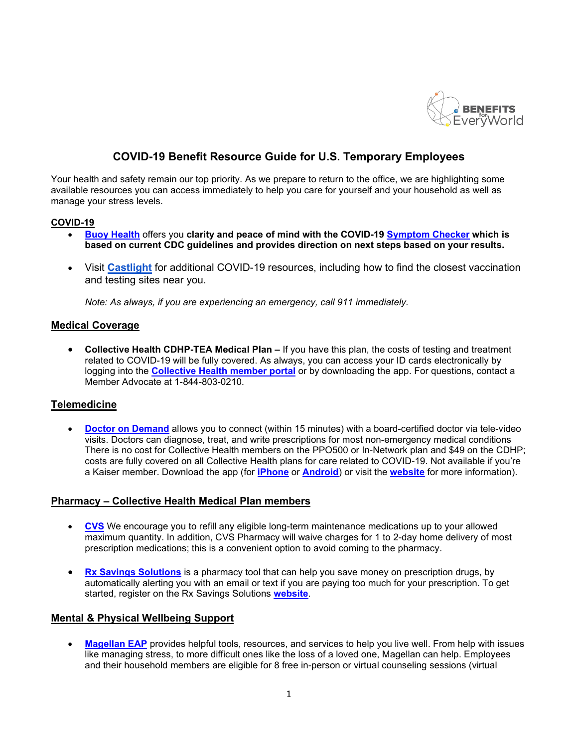

# **COVID-19 Benefit Resource Guide for U.S. Temporary Employees**

Your health and safety remain our top priority. As we prepare to return to the office, we are highlighting some available resources you can access immediately to help you care for yourself and your household as well as manage your stress levels.

#### **COVID-19**

- **[Buoy Health](https://www.buoyhealth.com/symptom-checker/)** offers you **clarity and peace of mind with the COVID-19 [Symptom Checker](https://www.buoyhealth.com/symptom-checker/) which is based on current CDC guidelines and provides direction on next steps based on your results.**
- Visit **[Castlight](https://us.castlighthealth.com/v2/user_dashboard)** for additional COVID-19 resources, including how to find the closest vaccination and testing sites near you.

*Note: As always, if you are experiencing an emergency, call 911 immediately.*

### **Medical Coverage**

• **Collective Health CDHP-TEA Medical Plan –** If you have this plan, the costs of testing and treatment related to COVID-19 will be fully covered. As always, you can access your ID cards electronically by logging into the **[Collective Health member portal](https://my.collectivehealth.com/)** or by downloading the app. For questions, contact a Member Advocate at 1-844-803-0210.

### **Telemedicine**

**[Doctor on Demand](https://doctorondemand.com/microsite/ab/)** allows you to connect (within 15 minutes) with a board-certified doctor via tele-video visits. Doctors can diagnose, treat, and write prescriptions for most non-emergency medical conditions There is no cost for Collective Health members on the PPO500 or In-Network plan and \$49 on the CDHP; costs are fully covered on all Collective Health plans for care related to COVID-19. Not available if you're a Kaiser member. Download the app (for **[iPhone](https://apps.apple.com/us/app/doctor-on-demand/id591981144)** or **[Android](https://play.google.com/store/apps/details?id=com.doctorondemand.android.patient&hl=en&)**) or visit the **[website](https://doctorondemand.com/microsite/ab/)** for more information).

#### **Pharmacy – Collective Health Medical Plan members**

- **[CVS](https://www.caremark.com/wps/portal?ALT_AUTH=Y)** We encourage you to refill any eligible long-term maintenance medications up to your allowed maximum quantity. In addition, CVS Pharmacy will waive charges for 1 to 2-day home delivery of most prescription medications; this is a convenient option to avoid coming to the pharmacy.
- **[Rx Savings Solutions](https://activisionblizzard.rxsavingssolutions.com/register)** is a pharmacy tool that can help you save money on prescription drugs, by automatically alerting you with an email or text if you are paying too much for your prescription. To get started, register on the Rx Savings Solutions **[website](https://activisionblizzard.rxsavingssolutions.com/register/verify)**.

### **Mental & Physical Wellbeing Support**

• **[Magellan EAP](https://www.magellanascend.com/)** provides helpful tools, resources, and services to help you live well. From help with issues like managing stress, to more difficult ones like the loss of a loved one, Magellan can help. Employees and their household members are eligible for 8 free in-person or virtual counseling sessions (virtual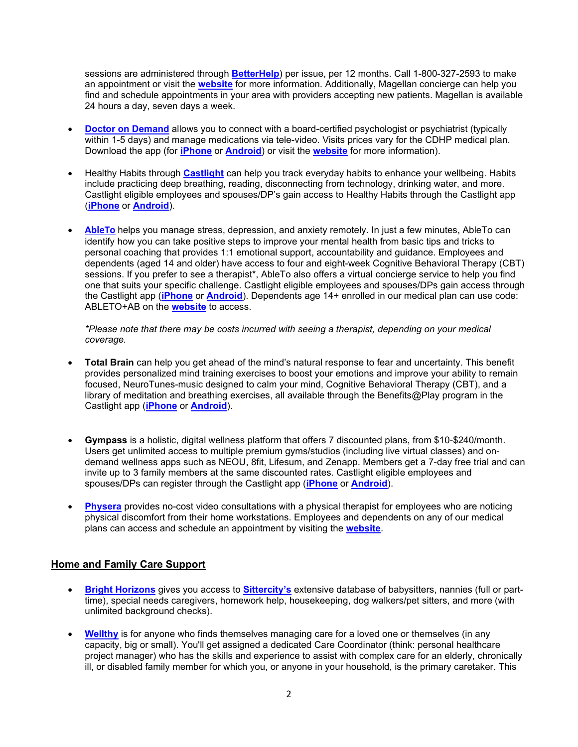sessions are administered through **[BetterHelp](https://www.betterhelp.com/magellan/)**) per issue, per 12 months. Call 1-800-327-2593 to make an appointment or visit the **[website](https://www.magellanascend.com/)** for more information. Additionally, Magellan concierge can help you find and schedule appointments in your area with providers accepting new patients. Magellan is available 24 hours a day, seven days a week.

- **[Doctor on Demand](https://doctorondemand.com/microsite/ab/)** allows you to connect with a board-certified psychologist or psychiatrist (typically within 1-5 days) and manage medications via tele-video. Visits prices vary for the CDHP medical plan. Download the app (for **[iPhone](https://apps.apple.com/us/app/doctor-on-demand/id591981144)** or **[Android](https://play.google.com/store/apps/details?id=com.doctorondemand.android.patient&hl=en&)**) or visit the **[website](https://doctorondemand.com/microsite/ab/)** for more information).
- Healthy Habits through **[Castlight](https://us.castlighthealth.com/v2/login)** can help you track everyday habits to enhance your wellbeing. Habits include practicing deep breathing, reading, disconnecting from technology, drinking water, and more. Castlight eligible employees and spouses/DP's gain access to Healthy Habits through the Castlight app (**[iPhone](https://apps.apple.com/us/app/castlight-mobile/id503468685)** or **[Android](https://play.google.com/store/apps/details?id=com.castlight.clh.view&hl=en_US&gl=US)**).
- **[AbleTo](https://app.ableto.com/ab)** helps you manage stress, depression, and anxiety remotely. In just a few minutes, AbleTo can identify how you can take positive steps to improve your mental health from basic tips and tricks to personal coaching that provides 1:1 emotional support, accountability and guidance. Employees and dependents (aged 14 and older) have access to four and eight-week Cognitive Behavioral Therapy (CBT) sessions. If you prefer to see a therapist\*, AbleTo also offers a virtual concierge service to help you find one that suits your specific challenge. Castlight eligible employees and spouses/DPs gain access through the Castlight app (**[iPhone](https://apps.apple.com/us/app/castlight-mobile/id503468685)** or **[Android](https://play.google.com/store/apps/details?id=com.castlight.clh.view&hl=en_US&gl=US)**). Dependents age 14+ enrolled in our medical plan can use code: ABLETO+AB on the **[website](https://app.ableto.com/ab)** to access.

*\*Please note that there may be costs incurred with seeing a therapist, depending on your medical coverage.*

- **Total Brain** can help you get ahead of the mind's natural response to fear and uncertainty. This benefit provides personalized mind training exercises to boost your emotions and improve your ability to remain focused, NeuroTunes-music designed to calm your mind, Cognitive Behavioral Therapy (CBT), and a library of meditation and breathing exercises, all available through the Benefits@Play program in the Castlight app (**[iPhone](https://apps.apple.com/us/app/castlight-mobile/id503468685)** or **[Android](https://play.google.com/store/apps/details?id=com.castlight.clh.view&hl=en_US&gl=US)**).
- **Gympass** is a holistic, digital wellness platform that offers 7 discounted plans, from \$10-\$240/month. Users get unlimited access to multiple premium gyms/studios (including live virtual classes) and ondemand wellness apps such as NEOU, 8fit, Lifesum, and Zenapp. Members get a 7-day free trial and can invite up to 3 family members at the same discounted rates. Castlight eligible employees and spouses/DPs can register through the Castlight app (**[iPhone](https://apps.apple.com/us/app/castlight-mobile/id503468685)** or **[Android](https://play.google.com/store/apps/details?id=com.castlight.clh.view&hl=en_US&gl=US)**).
- **[Physera](https://physera.com/go/activisionblizzard)** provides no-cost video consultations with a physical therapist for employees who are noticing physical discomfort from their home workstations. Employees and dependents on any of our medical plans can access and schedule an appointment by visiting the **[website](https://physera.com/go/activisionblizzard)**.

## **Home and Family Care Support**

- **[Bright Horizons](https://clients.brighthorizons.com/activisionblizzard%C2%A0)** gives you access to **[Sittercity's](https://clients.brighthorizons.com/activisionblizzard#Care-Programs-For-Your-Family)** extensive database of babysitters, nannies (full or parttime), special needs caregivers, homework help, housekeeping, dog walkers/pet sitters, and more (with unlimited background checks).
- **[Wellthy](https://wellthy.com/ab/)** is for anyone who finds themselves managing care for a loved one or themselves (in any capacity, big or small). You'll get assigned a dedicated Care Coordinator (think: personal healthcare project manager) who has the skills and experience to assist with complex care for an elderly, chronically ill, or disabled family member for which you, or anyone in your household, is the primary caretaker. This